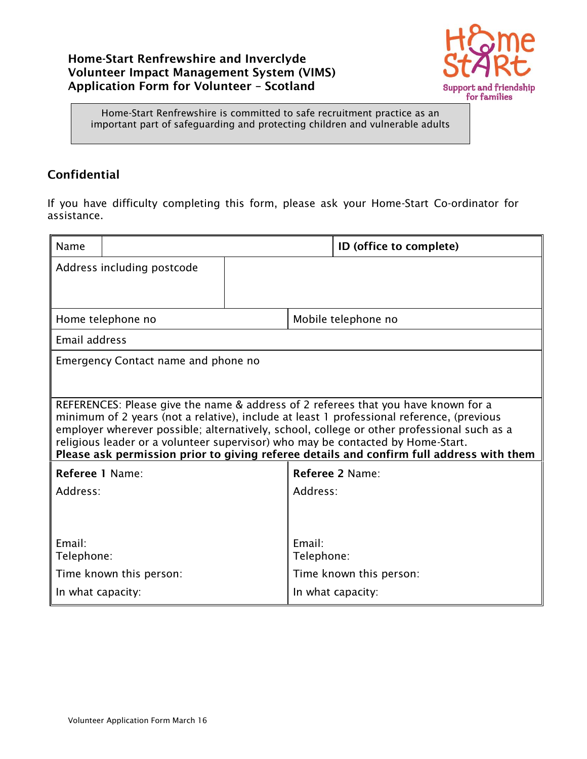### **Home-Start Renfrewshire and Inverclyde Volunteer Impact Management System (VIMS) Application Form for Volunteer – Scotland**



Home-Start Renfrewshire is committed to safe recruitment practice as an important part of safeguarding and protecting children and vulnerable adults

## **Confidential**

If you have difficulty completing this form, please ask your Home-Start Co-ordinator for assistance.

| Name                                                                                                                                                                                                                                                                                                                                                                                                                                                         |                                     |                   |                      | ID (office to complete) |  |
|--------------------------------------------------------------------------------------------------------------------------------------------------------------------------------------------------------------------------------------------------------------------------------------------------------------------------------------------------------------------------------------------------------------------------------------------------------------|-------------------------------------|-------------------|----------------------|-------------------------|--|
|                                                                                                                                                                                                                                                                                                                                                                                                                                                              | Address including postcode          |                   |                      |                         |  |
|                                                                                                                                                                                                                                                                                                                                                                                                                                                              |                                     |                   |                      |                         |  |
|                                                                                                                                                                                                                                                                                                                                                                                                                                                              | Home telephone no                   |                   | Mobile telephone no  |                         |  |
| Email address                                                                                                                                                                                                                                                                                                                                                                                                                                                |                                     |                   |                      |                         |  |
|                                                                                                                                                                                                                                                                                                                                                                                                                                                              | Emergency Contact name and phone no |                   |                      |                         |  |
|                                                                                                                                                                                                                                                                                                                                                                                                                                                              |                                     |                   |                      |                         |  |
| REFERENCES: Please give the name & address of 2 referees that you have known for a<br>minimum of 2 years (not a relative), include at least 1 professional reference, (previous<br>employer wherever possible; alternatively, school, college or other professional such as a<br>religious leader or a volunteer supervisor) who may be contacted by Home-Start.<br>Please ask permission prior to giving referee details and confirm full address with them |                                     |                   |                      |                         |  |
| Referee 1 Name:                                                                                                                                                                                                                                                                                                                                                                                                                                              |                                     |                   | Referee 2 Name:      |                         |  |
| Address:                                                                                                                                                                                                                                                                                                                                                                                                                                                     |                                     |                   | Address:             |                         |  |
|                                                                                                                                                                                                                                                                                                                                                                                                                                                              |                                     |                   |                      |                         |  |
| Email:<br>Telephone:                                                                                                                                                                                                                                                                                                                                                                                                                                         |                                     |                   | Email:<br>Telephone: |                         |  |
| Time known this person:<br>Time known this person:                                                                                                                                                                                                                                                                                                                                                                                                           |                                     |                   |                      |                         |  |
| In what capacity:                                                                                                                                                                                                                                                                                                                                                                                                                                            |                                     | In what capacity: |                      |                         |  |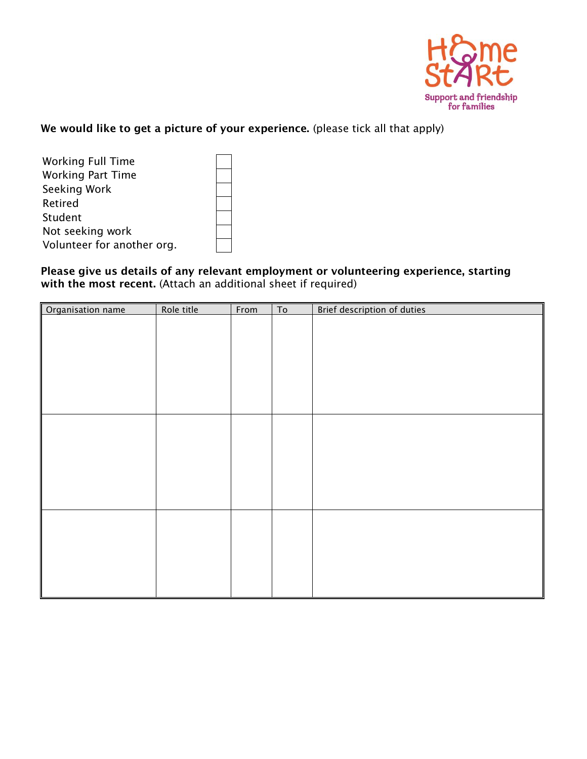

**We would like to get a picture of your experience.** (please tick all that apply)

| <b>Working Full Time</b>   |  |  |  |
|----------------------------|--|--|--|
| <b>Working Part Time</b>   |  |  |  |
| Seeking Work               |  |  |  |
| Retired                    |  |  |  |
| Student                    |  |  |  |
| Not seeking work           |  |  |  |
| Volunteer for another org. |  |  |  |

#### **Please give us details of any relevant employment or volunteering experience, starting with the most recent.** (Attach an additional sheet if required)

| Organisation name | Role title | From | T <sub>0</sub> | Brief description of duties |
|-------------------|------------|------|----------------|-----------------------------|
|                   |            |      |                |                             |
|                   |            |      |                |                             |
|                   |            |      |                |                             |
|                   |            |      |                |                             |
|                   |            |      |                |                             |
|                   |            |      |                |                             |
|                   |            |      |                |                             |
|                   |            |      |                |                             |
|                   |            |      |                |                             |
|                   |            |      |                |                             |
|                   |            |      |                |                             |
|                   |            |      |                |                             |
|                   |            |      |                |                             |
|                   |            |      |                |                             |
|                   |            |      |                |                             |
|                   |            |      |                |                             |
|                   |            |      |                |                             |
|                   |            |      |                |                             |
|                   |            |      |                |                             |
|                   |            |      |                |                             |
|                   |            |      |                |                             |
|                   |            |      |                |                             |
|                   |            |      |                |                             |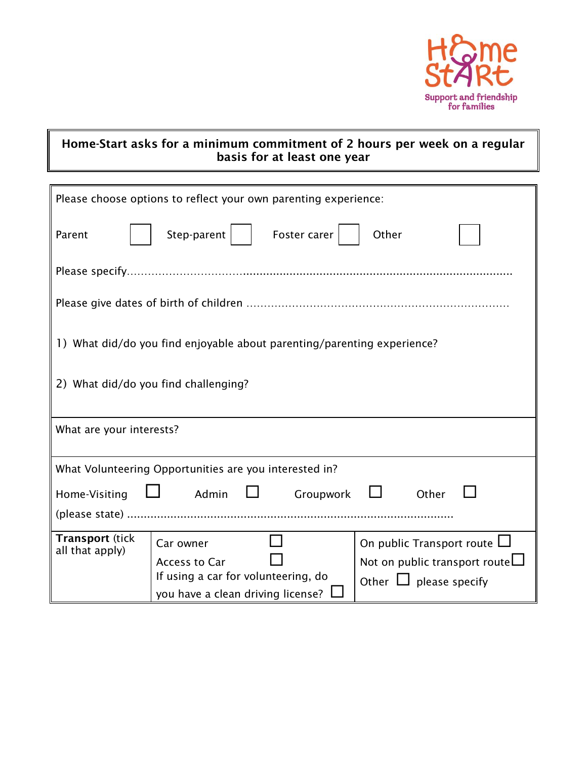

## **Home-Start asks for a minimum commitment of 2 hours per week on a regular basis for at least one year**

| Please choose options to reflect your own parenting experience:         |  |  |  |  |
|-------------------------------------------------------------------------|--|--|--|--|
|                                                                         |  |  |  |  |
| Step-parent $ $<br>Foster carer<br>Other<br>Parent                      |  |  |  |  |
|                                                                         |  |  |  |  |
|                                                                         |  |  |  |  |
|                                                                         |  |  |  |  |
|                                                                         |  |  |  |  |
|                                                                         |  |  |  |  |
|                                                                         |  |  |  |  |
| 1) What did/do you find enjoyable about parenting/parenting experience? |  |  |  |  |
|                                                                         |  |  |  |  |
|                                                                         |  |  |  |  |
| 2) What did/do you find challenging?                                    |  |  |  |  |
|                                                                         |  |  |  |  |
|                                                                         |  |  |  |  |
| What are your interests?                                                |  |  |  |  |
|                                                                         |  |  |  |  |
| What Volunteering Opportunities are you interested in?                  |  |  |  |  |
|                                                                         |  |  |  |  |
| Admin<br>Other<br>Home-Visiting<br><b>Lating Contract</b><br>Groupwork  |  |  |  |  |
|                                                                         |  |  |  |  |
| <b>Transport (tick</b>                                                  |  |  |  |  |
| On public Transport route $\Box$<br>Car owner<br>all that apply)        |  |  |  |  |
| Not on public transport route $\Box$<br><b>Access to Car</b>            |  |  |  |  |
| If using a car for volunteering, do<br>Other $\Box$ please specify      |  |  |  |  |
| you have a clean driving license?                                       |  |  |  |  |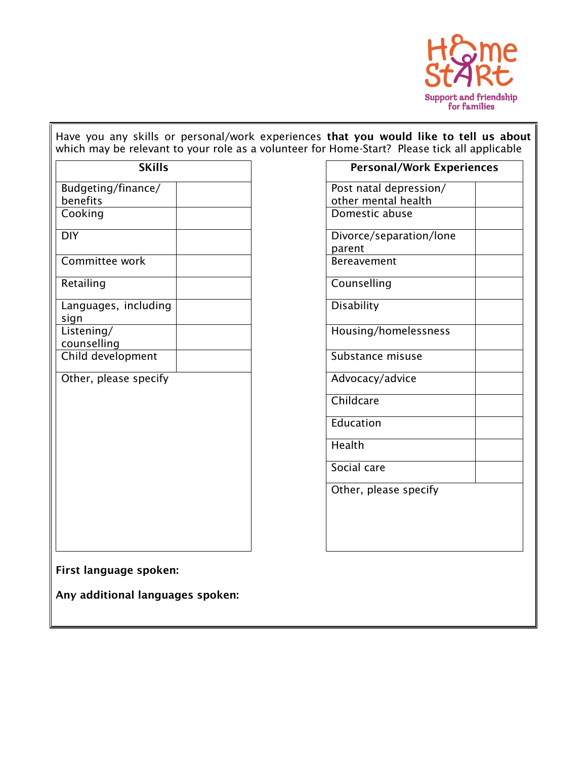

Have you any skills or personal/work experiences **that you would like to tell us about** which may be relevant to your role as a volunteer for Home-Start? Please tick all applicable

| <b>SKills</b>                  | <b>Personal/Work Expe</b>                     |
|--------------------------------|-----------------------------------------------|
| Budgeting/finance/<br>benefits | Post natal depression/<br>other mental health |
| Cooking                        | Domestic abuse                                |
| <b>DIY</b>                     | Divorce/separation/lone<br>parent             |
| Committee work                 | Bereavement                                   |
| Retailing                      | Counselling                                   |
| Languages, including<br>sign   | Disability                                    |
| Listening/<br>counselling      | Housing/homelessness                          |
| Child development              | Substance misuse                              |
| Other, please specify          | Advocacy/advice                               |
|                                | Childcare                                     |
|                                | Education                                     |
|                                | Health                                        |
|                                | Social care                                   |
|                                | Other, please specify                         |
|                                |                                               |
|                                |                                               |
|                                |                                               |

| <b>SKills</b>           | <b>Personal/Work Experiences</b>              |
|-------------------------|-----------------------------------------------|
| nce $\sqrt{}$           | Post natal depression/<br>other mental health |
|                         | Domestic abuse                                |
|                         | Divorce/separation/lone<br>parent             |
| $\overline{\mathsf{k}}$ | Bereavement                                   |
|                         | Counselling                                   |
| luding                  | Disability                                    |
|                         | Housing/homelessness                          |
| ent                     | Substance misuse                              |
| pecify                  | Advocacy/advice                               |
|                         | Childcare                                     |
|                         | Education                                     |
|                         | Health                                        |
|                         | Social care                                   |
|                         | Other, please specify                         |
|                         |                                               |
|                         |                                               |
|                         |                                               |

**First language spoken:**

**Any additional languages spoken:**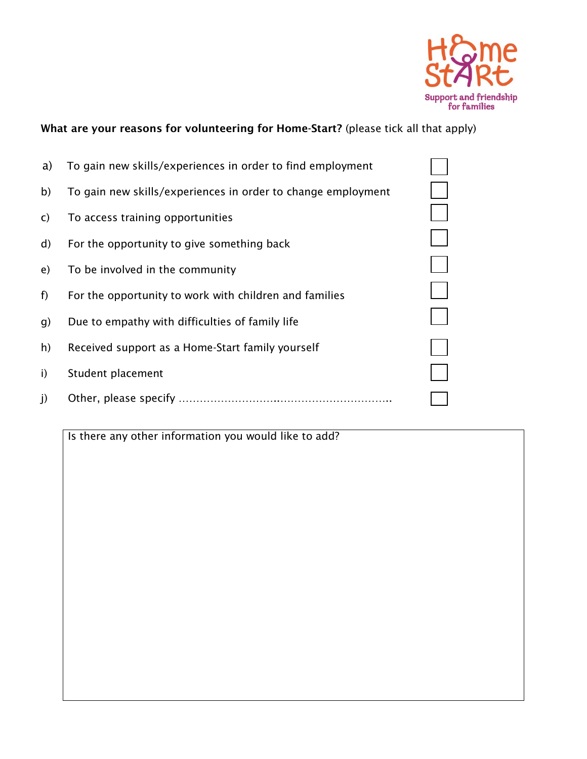

# **What are your reasons for volunteering for Home-Start?** (please tick all that apply)

| a)           | To gain new skills/experiences in order to find employment   |  |
|--------------|--------------------------------------------------------------|--|
| b)           | To gain new skills/experiences in order to change employment |  |
| $\mathsf{C}$ | To access training opportunities                             |  |
| $\mathsf{d}$ | For the opportunity to give something back                   |  |
| e)           | To be involved in the community                              |  |
| f)           | For the opportunity to work with children and families       |  |
| g)           | Due to empathy with difficulties of family life              |  |
| h)           | Received support as a Home-Start family yourself             |  |
| i)           | Student placement                                            |  |
| $\mathbf{j}$ |                                                              |  |
|              |                                                              |  |

Is there any other information you would like to add?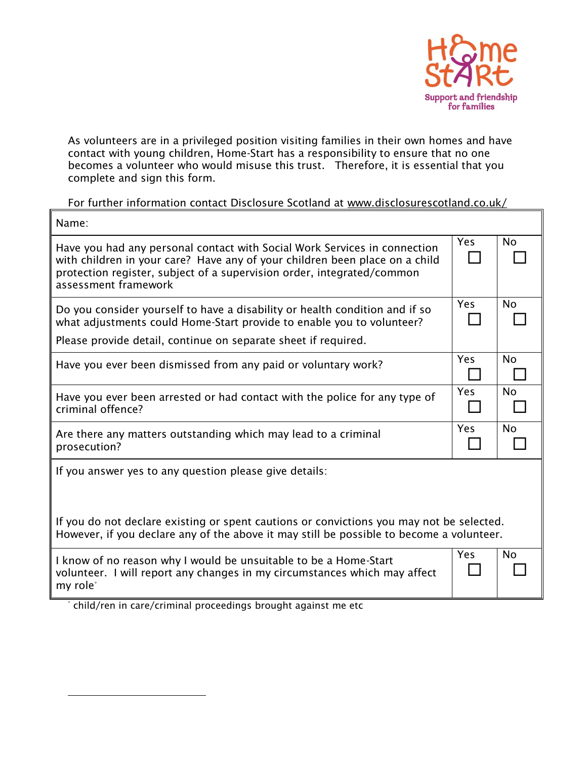

As volunteers are in a privileged position visiting families in their own homes and have contact with young children, Home-Start has a responsibility to ensure that no one becomes a volunteer who would misuse this trust. Therefore, it is essential that you complete and sign this form.

For further information contact Disclosure Scotland at [www.disclosurescotland.co.uk/](http://www.disclosurescotland.co.uk/)

| Name:                                                                                                                                                                                                                                                      |            |           |  |  |
|------------------------------------------------------------------------------------------------------------------------------------------------------------------------------------------------------------------------------------------------------------|------------|-----------|--|--|
| Have you had any personal contact with Social Work Services in connection<br>with children in your care? Have any of your children been place on a child<br>protection register, subject of a supervision order, integrated/common<br>assessment framework | <b>Yes</b> | <b>No</b> |  |  |
| Do you consider yourself to have a disability or health condition and if so<br>what adjustments could Home-Start provide to enable you to volunteer?                                                                                                       |            | <b>No</b> |  |  |
| Please provide detail, continue on separate sheet if required.                                                                                                                                                                                             |            |           |  |  |
| Have you ever been dismissed from any paid or voluntary work?                                                                                                                                                                                              | Yes        | <b>No</b> |  |  |
| Have you ever been arrested or had contact with the police for any type of<br>criminal offence?                                                                                                                                                            | <b>Yes</b> | <b>No</b> |  |  |
| Are there any matters outstanding which may lead to a criminal<br>prosecution?                                                                                                                                                                             |            | <b>No</b> |  |  |
| If you answer yes to any question please give details:                                                                                                                                                                                                     |            |           |  |  |
| If you do not declare existing or spent cautions or convictions you may not be selected.<br>However, if you declare any of the above it may still be possible to become a volunteer.                                                                       |            |           |  |  |
| I know of no reason why I would be unsuitable to be a Home-Start<br>volunteer. I will report any changes in my circumstances which may affect<br>my role*                                                                                                  |            | <b>No</b> |  |  |

\* child/ren in care/criminal proceedings brought against me etc

 $\overline{a}$ 

 $\overline{r}$